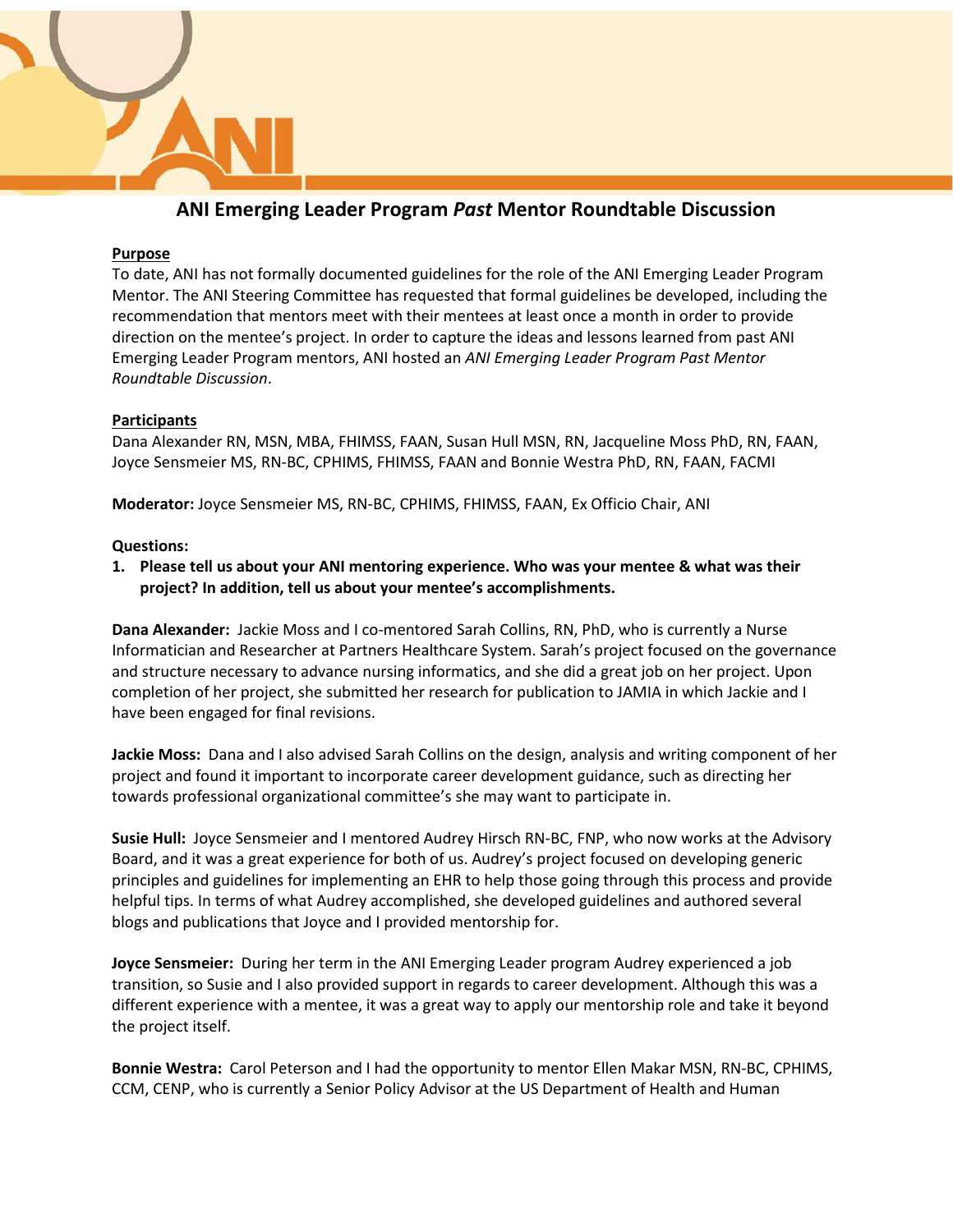

# **ANI Emerging Leader Program** *Past* **Mentor Roundtable Discussion**

#### **Purpose**

To date, ANI has not formally documented guidelines for the role of the ANI Emerging Leader Program Mentor. The ANI Steering Committee has requested that formal guidelines be developed, including the recommendation that mentors meet with their mentees at least once a month in order to provide direction on the mentee's project. In order to capture the ideas and lessons learned from past ANI Emerging Leader Program mentors, ANI hosted an *ANI Emerging Leader Program Past Mentor Roundtable Discussion*.

## **Participants**

Dana Alexander RN, MSN, MBA, FHIMSS, FAAN, Susan Hull MSN, RN, Jacqueline Moss PhD, RN, FAAN, Joyce Sensmeier MS, RN-BC, CPHIMS, FHIMSS, FAAN and Bonnie Westra PhD, RN, FAAN, FACMI

**Moderator:** Joyce Sensmeier MS, RN-BC, CPHIMS, FHIMSS, FAAN, Ex Officio Chair, ANI

#### **Questions:**

**1. Please tell us about your ANI mentoring experience. Who was your mentee & what was their project? In addition, tell us about your mentee's accomplishments.**

**Dana Alexander:** Jackie Moss and I co-mentored Sarah Collins, RN, PhD, who is currently a Nurse Informatician and Researcher at Partners Healthcare System. Sarah's project focused on the governance and structure necessary to advance nursing informatics, and she did a great job on her project. Upon completion of her project, she submitted her research for publication to JAMIA in which Jackie and I have been engaged for final revisions.

**Jackie Moss:** Dana and I also advised Sarah Collins on the design, analysis and writing component of her project and found it important to incorporate career development guidance, such as directing her towards professional organizational committee's she may want to participate in.

**Susie Hull:** Joyce Sensmeier and I mentored Audrey Hirsch RN-BC, FNP, who now works at the Advisory Board, and it was a great experience for both of us. Audrey's project focused on developing generic principles and guidelines for implementing an EHR to help those going through this process and provide helpful tips. In terms of what Audrey accomplished, she developed guidelines and authored several blogs and publications that Joyce and I provided mentorship for.

**Joyce Sensmeier:** During her term in the ANI Emerging Leader program Audrey experienced a job transition, so Susie and I also provided support in regards to career development. Although this was a different experience with a mentee, it was a great way to apply our mentorship role and take it beyond the project itself.

**Bonnie Westra:** Carol Peterson and I had the opportunity to mentor Ellen Makar MSN, RN-BC, CPHIMS, CCM, CENP, who is currently a Senior Policy Advisor at the US Department of Health and Human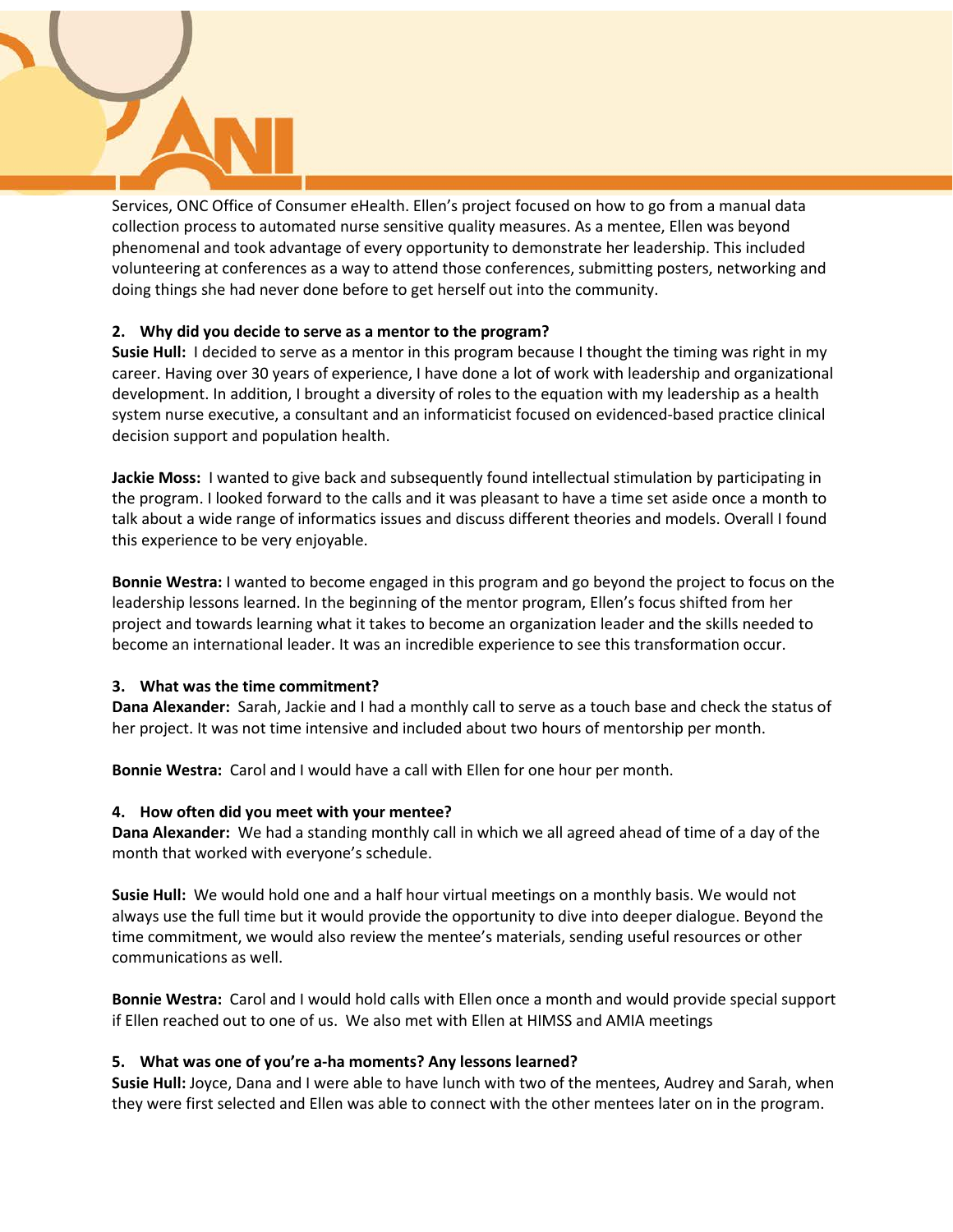

Services, ONC Office of Consumer eHealth. Ellen's project focused on how to go from a manual data collection process to automated nurse sensitive quality measures. As a mentee, Ellen was beyond phenomenal and took advantage of every opportunity to demonstrate her leadership. This included volunteering at conferences as a way to attend those conferences, submitting posters, networking and doing things she had never done before to get herself out into the community.

## **2. Why did you decide to serve as a mentor to the program?**

**Susie Hull:** I decided to serve as a mentor in this program because I thought the timing was right in my career. Having over 30 years of experience, I have done a lot of work with leadership and organizational development. In addition, I brought a diversity of roles to the equation with my leadership as a health system nurse executive, a consultant and an informaticist focused on evidenced-based practice clinical decision support and population health.

**Jackie Moss:** I wanted to give back and subsequently found intellectual stimulation by participating in the program. I looked forward to the calls and it was pleasant to have a time set aside once a month to talk about a wide range of informatics issues and discuss different theories and models. Overall I found this experience to be very enjoyable.

**Bonnie Westra:** I wanted to become engaged in this program and go beyond the project to focus on the leadership lessons learned. In the beginning of the mentor program, Ellen's focus shifted from her project and towards learning what it takes to become an organization leader and the skills needed to become an international leader. It was an incredible experience to see this transformation occur.

## **3. What was the time commitment?**

**Dana Alexander:** Sarah, Jackie and I had a monthly call to serve as a touch base and check the status of her project. It was not time intensive and included about two hours of mentorship per month.

**Bonnie Westra:** Carol and I would have a call with Ellen for one hour per month.

## **4. How often did you meet with your mentee?**

**Dana Alexander:** We had a standing monthly call in which we all agreed ahead of time of a day of the month that worked with everyone's schedule.

**Susie Hull:** We would hold one and a half hour virtual meetings on a monthly basis. We would not always use the full time but it would provide the opportunity to dive into deeper dialogue. Beyond the time commitment, we would also review the mentee's materials, sending useful resources or other communications as well.

**Bonnie Westra:** Carol and I would hold calls with Ellen once a month and would provide special support if Ellen reached out to one of us. We also met with Ellen at HIMSS and AMIA meetings

# **5. What was one of you're a-ha moments? Any lessons learned?**

**Susie Hull:** Joyce, Dana and I were able to have lunch with two of the mentees, Audrey and Sarah, when they were first selected and Ellen was able to connect with the other mentees later on in the program.